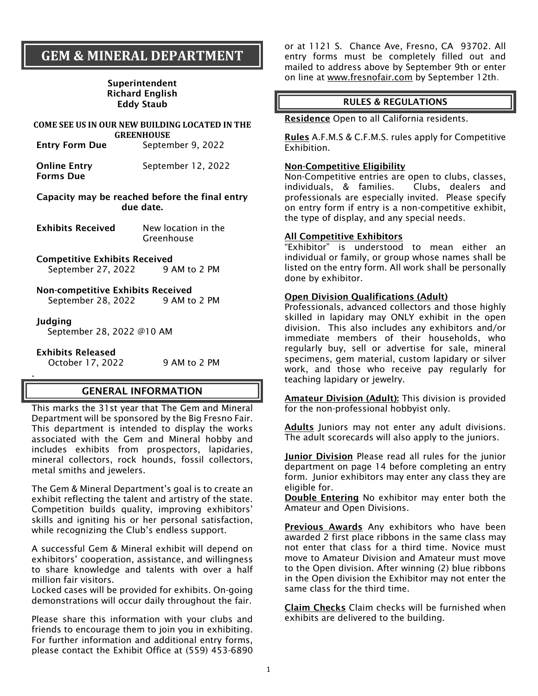# **GEM & MINERAL DEPARTMENT**

#### Superintendent Richard English Eddy Staub

#### **COME SEE US IN OUR NEW BUILDING LOCATED IN THE GREENHOUSE**

Entry Form Due September 9, 2022

| <b>Online Entry</b> | September 12, 2022 |
|---------------------|--------------------|
| <b>Forms Due</b>    |                    |

#### Capacity may be reached before the final entry due date.

- Exhibits Received New location in the Greenhouse
- Competitive Exhibits Received September 27, 2022 9 AM to 2 PM

#### Non-competitive Exhibits Received September 28, 2022 9 AM to 2 PM

#### Judging

.

September 28, 2022 @10 AM

Exhibits Released

October 17, 2022 9AM to 2 PM

# GENERAL INFORMATION

This marks the 31st year that The Gem and Mineral Department will be sponsored by the Big Fresno Fair. This department is intended to display the works associated with the Gem and Mineral hobby and includes exhibits from prospectors, lapidaries, mineral collectors, rock hounds, fossil collectors, metal smiths and jewelers.

The Gem & Mineral Department's goal is to create an exhibit reflecting the talent and artistry of the state. Competition builds quality, improving exhibitors' skills and igniting his or her personal satisfaction, while recognizing the Club's endless support.

A successful Gem & Mineral exhibit will depend on exhibitors' cooperation, assistance, and willingness to share knowledge and talents with over a half million fair visitors.

Locked cases will be provided for exhibits. On-going demonstrations will occur daily throughout the fair.

Please share this information with your clubs and friends to encourage them to join you in exhibiting. For further information and additional entry forms, please contact the Exhibit Office at (559) 453-6890

or at 1121 S. Chance Ave, Fresno, CA 93702. All entry forms must be completely filled out and mailed to address above by September 9th or enter on line at [www.fresnofair.com](http://www.fresnofair.com/) by September 12th.

#### RULES & REGULATIONS

Residence Open to all California residents.

Rules A.F.M.S & C.F.M.S. rules apply for Competitive Exhibition.

#### Non-Competitive Eligibility

Non-Competitive entries are open to clubs, classes, individuals, & families. Clubs, dealers and professionals are especially invited. Please specify on entry form if entry is a non-competitive exhibit, the type of display, and any special needs.

#### All Competitive Exhibitors

"Exhibitor" is understood to mean either an individual or family, or group whose names shall be listed on the entry form. All work shall be personally done by exhibitor.

#### Open Division Qualifications (Adult)

Professionals, advanced collectors and those highly skilled in lapidary may ONLY exhibit in the open division. This also includes any exhibitors and/or immediate members of their households, who regularly buy, sell or advertise for sale, mineral specimens, gem material, custom lapidary or silver work, and those who receive pay regularly for teaching lapidary or jewelry.

Amateur Division (Adult): This division is provided for the non-professional hobbyist only.

Adults Juniors may not enter any adult divisions. The adult scorecards will also apply to the juniors.

Junior Division Please read all rules for the junior department on page 14 before completing an entry form. Junior exhibitors may enter any class they are eligible for.

Double Entering No exhibitor may enter both the Amateur and Open Divisions.

Previous Awards Any exhibitors who have been awarded 2 first place ribbons in the same class may not enter that class for a third time. Novice must move to Amateur Division and Amateur must move to the Open division. After winning (2) blue ribbons in the Open division the Exhibitor may not enter the same class for the third time.

Claim Checks Claim checks will be furnished when exhibits are delivered to the building.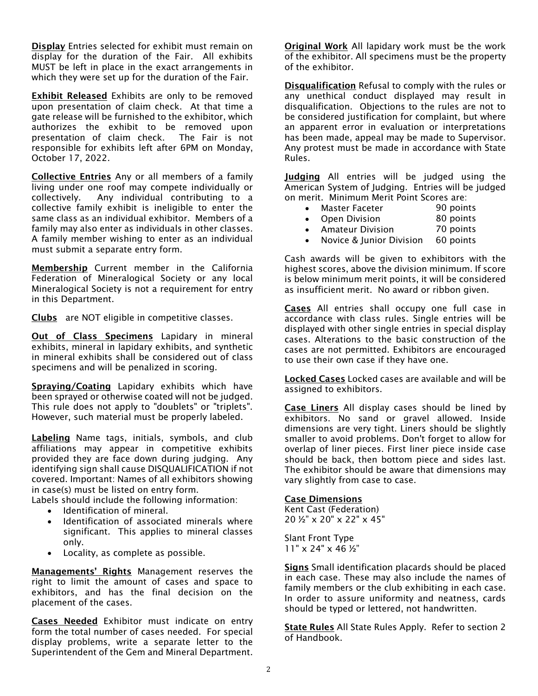Display Entries selected for exhibit must remain on display for the duration of the Fair. All exhibits MUST be left in place in the exact arrangements in which they were set up for the duration of the Fair.

**Exhibit Released** Exhibits are only to be removed upon presentation of claim check. At that time a gate release will be furnished to the exhibitor, which authorizes the exhibit to be removed upon presentation of claim check. The Fair is not responsible for exhibits left after 6PM on Monday, October 17, 2022.

Collective Entries Any or all members of a family living under one roof may compete individually or collectively. Any individual contributing to a collective family exhibit is ineligible to enter the same class as an individual exhibitor. Members of a family may also enter as individuals in other classes. A family member wishing to enter as an individual must submit a separate entry form.

Membership Current member in the California Federation of Mineralogical Society or any local Mineralogical Society is not a requirement for entry in this Department.

Clubs are NOT eligible in competitive classes.

**Out of Class Specimens** Lapidary in mineral exhibits, mineral in lapidary exhibits, and synthetic in mineral exhibits shall be considered out of class specimens and will be penalized in scoring.

Spraying/Coating Lapidary exhibits which have been sprayed or otherwise coated will not be judged. This rule does not apply to "doublets" or "triplets". However, such material must be properly labeled.

Labeling Name tags, initials, symbols, and club affiliations may appear in competitive exhibits provided they are face down during judging. Any identifying sign shall cause DISQUALIFICATION if not covered. Important: Names of all exhibitors showing in case(s) must be listed on entry form.

Labels should include the following information:

- Identification of mineral.
- Identification of associated minerals where significant. This applies to mineral classes only.
- Locality, as complete as possible.

Managements' Rights Management reserves the right to limit the amount of cases and space to exhibitors, and has the final decision on the placement of the cases.

Cases Needed Exhibitor must indicate on entry form the total number of cases needed. For special display problems, write a separate letter to the Superintendent of the Gem and Mineral Department.

Original Work All lapidary work must be the work of the exhibitor. All specimens must be the property of the exhibitor.

Disqualification Refusal to comply with the rules or any unethical conduct displayed may result in disqualification. Objections to the rules are not to be considered justification for complaint, but where an apparent error in evaluation or interpretations has been made, appeal may be made to Supervisor. Any protest must be made in accordance with State Rules.

Judging All entries will be judged using the American System of Judging. Entries will be judged on merit. Minimum Merit Point Scores are:

- Master Faceter 90 points
- Open Division 80 points
- Amateur Division 70 points
- Novice & Junior Division 60 points

Cash awards will be given to exhibitors with the highest scores, above the division minimum. If score is below minimum merit points, it will be considered as insufficient merit. No award or ribbon given.

Cases All entries shall occupy one full case in accordance with class rules. Single entries will be displayed with other single entries in special display cases. Alterations to the basic construction of the cases are not permitted. Exhibitors are encouraged to use their own case if they have one.

Locked Cases Locked cases are available and will be assigned to exhibitors.

Case Liners All display cases should be lined by exhibitors. No sand or gravel allowed. Inside dimensions are very tight. Liners should be slightly smaller to avoid problems. Don't forget to allow for overlap of liner pieces. First liner piece inside case should be back, then bottom piece and sides last. The exhibitor should be aware that dimensions may vary slightly from case to case.

#### Case Dimensions

Kent Cast (Federation) 20 ½" x 20" x 22" x 45"

Slant Front Type 11" x 24" x 46 ½"

Signs Small identification placards should be placed in each case. These may also include the names of family members or the club exhibiting in each case. In order to assure uniformity and neatness, cards should be typed or lettered, not handwritten.

State Rules All State Rules Apply. Refer to section 2 of Handbook.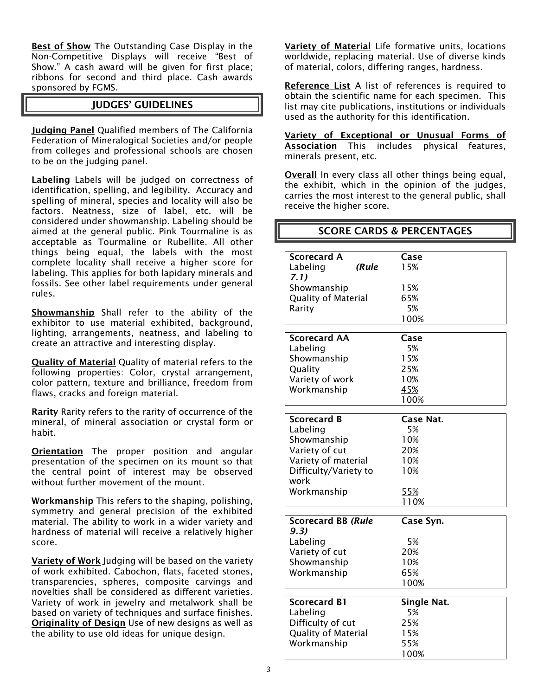Best of Show The Outstanding Case Display in the Non-Competitive Displays will receive "Best of Show." A cash award will be given for first place; ribbons for second and third place. Cash awards sponsored by FGMS.

#### JUDGES' GUIDELINES

Judging Panel Qualified members of The California Federation of Mineralogical Societies and/or people from colleges and professional schools are chosen to be on the judging panel.

Labeling Labels will be judged on correctness of identification, spelling, and legibility. Accuracy and spelling of mineral, species and locality will also be factors. Neatness, size of label, etc. will be considered under showmanship. Labeling should be aimed at the general public. Pink Tourmaline is as acceptable as Tourmaline or Rubellite. All other things being equal, the labels with the most complete locality shall receive a higher score for labeling. This applies for both lapidary minerals and fossils. See other label requirements under general rules.

Showmanship Shall refer to the ability of the exhibitor to use material exhibited, background, lighting, arrangements, neatness, and labeling to create an attractive and interesting display.

Quality of Material Quality of material refers to the following properties: Color, crystal arrangement, color pattern, texture and brilliance, freedom from flaws, cracks and foreign material.

Rarity Rarity refers to the rarity of occurrence of the mineral, of mineral association or crystal form or habit.

**Orientation** The proper position and angular presentation of the specimen on its mount so that the central point of interest may be observed without further movement of the mount.

Workmanship This refers to the shaping, polishing, symmetry and general precision of the exhibited material. The ability to work in a wider variety and hardness of material will receive a relatively higher score.

Variety of Work Judging will be based on the variety of work exhibited. Cabochon, flats, faceted stones, transparencies, spheres, composite carvings and novelties shall be considered as different varieties. Variety of work in jewelry and metalwork shall be based on variety of techniques and surface finishes. **Originality of Design** Use of new designs as well as the ability to use old ideas for unique design.

Variety of Material Life formative units, locations worldwide, replacing material. Use of diverse kinds of material, colors, differing ranges, hardness.

Reference List A list of references is required to obtain the scientific name for each specimen. This list may cite publications, institutions or individuals used as the authority for this identification.

Variety of Exceptional or Unusual Forms of Association This includes physical features, minerals present, etc.

Overall In every class all other things being equal, the exhibit, which in the opinion of the judges, carries the most interest to the general public, shall receive the higher score.

|                                       | <b>SCORE CARDS &amp; PERCENTAGES</b> |
|---------------------------------------|--------------------------------------|
|                                       |                                      |
| <b>Scorecard A</b>                    | Case                                 |
| Labeling<br>(Rule                     | 15%                                  |
| 7.1)                                  |                                      |
| Showmanship                           | 15%                                  |
| <b>Quality of Material</b>            | 65%                                  |
| Rarity                                | 5%<br>100%                           |
|                                       |                                      |
| <b>Scorecard AA</b>                   | Case                                 |
| Labeling                              | 5%                                   |
| Showmanship                           | 15%                                  |
| Quality                               | 25%                                  |
| Variety of work                       | 10%                                  |
| Workmanship                           | 45%                                  |
|                                       | 100%                                 |
|                                       |                                      |
| <b>Scorecard B</b>                    | <b>Case Nat.</b><br>5%               |
| Labeling<br>Showmanship               | 10%                                  |
|                                       | 20%                                  |
| Variety of cut<br>Variety of material | 10%                                  |
|                                       | 10%                                  |
| Difficulty/Variety to<br>work         |                                      |
| Workmanship                           | 55%                                  |
|                                       | 110%                                 |
|                                       |                                      |
| <b>Scorecard BB (Rule</b>             | Case Syn.                            |
| 9.3)                                  |                                      |
| Labeling                              | 5%                                   |
| Variety of cut                        | 20%                                  |
| Showmanship                           | 10%                                  |
| Workmanship                           | 65%<br>100%                          |
|                                       |                                      |
| <b>Scorecard B1</b>                   | <b>Single Nat.</b>                   |
| Labeling                              | 5%                                   |
| Difficulty of cut                     | 25%                                  |
| Quality of Material                   | 15%                                  |
| Workmanship                           | 55%                                  |
|                                       | 100%                                 |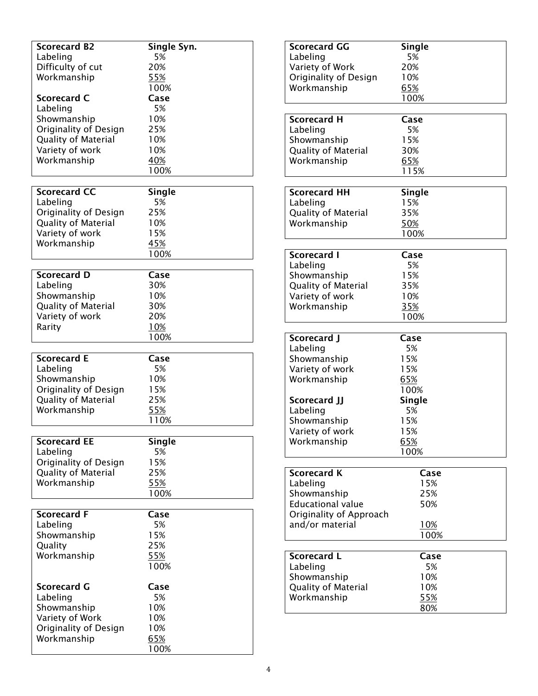| <b>Scorecard B2</b>        | Single Syn.   |
|----------------------------|---------------|
| Labeling                   | 5%            |
| Difficulty of cut          | 20%           |
| Workmanship                | 55%           |
|                            | 100%          |
|                            |               |
| Scorecard C                | Case          |
| Labeling                   | 5%            |
| Showmanship                | 10%           |
| Originality of Design      | 25%           |
| <b>Quality of Material</b> | 10%           |
| Variety of work            | 10%           |
|                            |               |
| Workmanship                | 40%           |
|                            | 100%          |
|                            |               |
| <b>Scorecard CC</b>        | <b>Single</b> |
| Labeling                   | 5%            |
| Originality of Design      | 25%           |
| <b>Quality of Material</b> | 10%           |
| Variety of work            | 15%           |
|                            |               |
| Workmanship                | 45%           |
|                            | 100%          |
|                            |               |
| <b>Scorecard D</b>         | Case          |
| Labeling                   | 30%           |
| Showmanship                | 10%           |
| <b>Quality of Material</b> | 30%           |
| Variety of work            | 20%           |
| Rarity                     | 10%           |
|                            |               |
|                            | 100%          |
|                            |               |
| <b>Scorecard E</b>         | Case          |
| Labeling                   | 5%            |
| Showmanship                | 10%           |
| Originality of Design      | 15%           |
| <b>Quality of Material</b> | 25%           |
| Workmanship                | 55%           |
|                            |               |
|                            |               |
|                            | 110%          |
|                            |               |
| <b>Scorecard EE</b>        | <b>Single</b> |
| Labeling                   | 5%            |
| Originality of Design      | 15%           |
| <b>Quality of Material</b> | 25%           |
| Workmanship                | 55%           |
|                            | 100%          |
|                            |               |
| <b>Scorecard F</b>         | Case          |
| Labeling                   | 5%            |
|                            |               |
| Showmanship                | 15%           |
| Quality                    | 25%           |
| Workmanship                | 55%           |
|                            | 100%          |
|                            |               |
| <b>Scorecard G</b>         | Case          |
| Labeling                   | 5%            |
| Showmanship                | 10%           |
| Variety of Work            | 10%           |
|                            | 10%           |
| Originality of Design      |               |
| Workmanship                | 65%<br>100%   |

| <b>Scorecard GG</b>                                                   | <b>Single</b>                       |
|-----------------------------------------------------------------------|-------------------------------------|
| Labeling                                                              | 5%                                  |
| Variety of Work                                                       | 20%                                 |
| Originality of Design<br>Workmanship                                  | 10%<br>65%<br>100%                  |
| <b>Scorecard H</b>                                                    | Case                                |
| Labeling                                                              | 5%                                  |
| Showmanship                                                           | 15%                                 |
| <b>Quality of Material</b>                                            | 30%                                 |
| Workmanship                                                           | 65%                                 |
|                                                                       | 115%                                |
| <b>Scorecard HH</b><br>Labeling<br>Quality of Material<br>Workmanship | Single<br>15%<br>35%<br>50%<br>100% |
| <b>Scorecard I</b>                                                    | Case                                |
| Labeling                                                              | 5%                                  |
| Showmanship                                                           | 15%                                 |
| Quality of Material                                                   | 35%                                 |
| Variety of work                                                       | 10%                                 |
| Workmanship                                                           | <u>35%</u>                          |
|                                                                       | 100%                                |
| Scorecard J                                                           | Case                                |
| Labeling                                                              | 5%                                  |
| Showmanship                                                           | 15%                                 |
| Variety of work                                                       | 15%                                 |
| Workmanship                                                           | 65%                                 |
| Scorecard JJ<br>Labeling                                              | 100%<br>Single<br>5%                |
| Showmanship<br>Variety of work<br>Workmanship                         | 15%<br>15%<br><u>65%</u><br>100%    |
| <b>Scorecard K</b>                                                    | Case                                |
| Labeling                                                              | 15%                                 |
| Showmanship                                                           | 25%                                 |
| <b>Educational value</b>                                              | 50%                                 |
| Originality of Approach                                               | <u>10%</u>                          |
| and/or material                                                       | 100%                                |
| <b>Scorecard L</b>                                                    | Case                                |
| Labeling                                                              | 5%                                  |
| Showmanship<br>Quality of Material<br>Workmanship                     | 10%<br>10%<br>55%<br>80%            |
|                                                                       |                                     |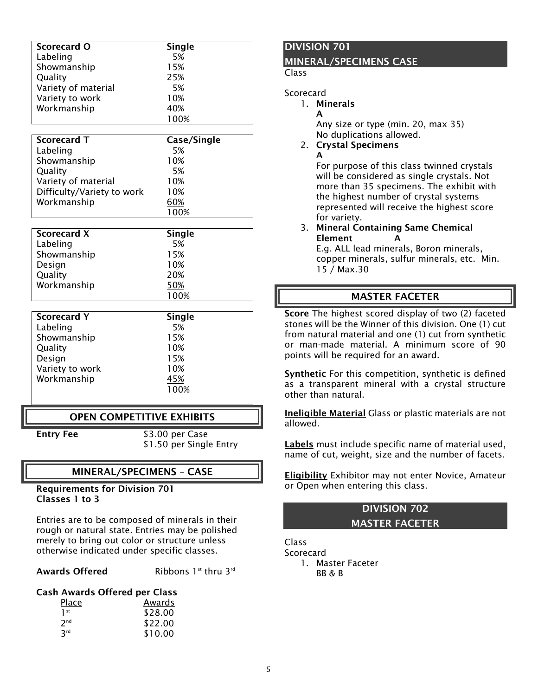| Scorecard O         | Single |  |
|---------------------|--------|--|
| Labeling            | 5%     |  |
| Showmanship         | 15%    |  |
| Quality             | 25%    |  |
| Variety of material | 5%     |  |
| Variety to work     | 10%    |  |
| Workmanship         | 40%    |  |
|                     | 100%   |  |

| Scorecard T                | Case/Single |
|----------------------------|-------------|
| Labeling                   | 5%          |
| Showmanship                | 10%         |
| Quality                    | 5%          |
| Variety of material        | 10%         |
| Difficulty/Variety to work | 10%         |
| Workmanship                | 60%         |
|                            |             |

| <b>Scorecard X</b> | Single |  |
|--------------------|--------|--|
| Labeling           | 5%     |  |
| Showmanship        | 15%    |  |
| Design             | 10%    |  |
| Quality            | 20%    |  |
| Workmanship        | 50%    |  |
|                    | 100%   |  |

| <b>Scorecard Y</b> | Single |
|--------------------|--------|
| Labeling           | 5%     |
| Showmanship        | 15%    |
| Quality            | 10%    |
| Design             | 15%    |
| Variety to work    | 10%    |
| Workmanship        | 45%    |
|                    | 100%   |

## OPEN COMPETITIVE EXHIBITS

Entry Fee \$3.00 per Case \$1.50 per Single Entry

#### MINERAL/SPECIMENS – CASE

#### Requirements for Division 701 Classes 1 to 3

Entries are to be composed of minerals in their rough or natural state. Entries may be polished merely to bring out color or structure unless otherwise indicated under specific classes.

#### Awards Offered Ribbons 1st thru 3rd

#### Cash Awards Offered per Class

| <b>Place</b>    | Awards  |
|-----------------|---------|
| 1 <sup>st</sup> | \$28.00 |
| 7 <sup>nd</sup> | \$22.00 |
| 3 <sup>rd</sup> | \$10.00 |

#### DIVISION 701

#### MINERAL/SPECIMENS CASE

#### Class

#### **Scorecard**

#### 1. Minerals

A

A Any size or type (min. 20, max 35) No duplications allowed.

#### 2. Crystal Specimens

For purpose of this class twinned crystals will be considered as single crystals. Not more than 35 specimens. The exhibit with the highest number of crystal systems represented will receive the highest score for variety.

#### 3. Mineral Containing Same Chemical **Element**

E.g. ALL lead minerals, Boron minerals, copper minerals, sulfur minerals, etc. Min. 15 / Max.30

#### MASTER FACETER

Score The highest scored display of two (2) faceted stones will be the Winner of this division. One (1) cut from natural material and one (1) cut from synthetic or man-made material. A minimum score of 90 points will be required for an award.

Synthetic For this competition, synthetic is defined as a transparent mineral with a crystal structure other than natural.

Ineligible Material Glass or plastic materials are not allowed.

Labels must include specific name of material used, name of cut, weight, size and the number of facets.

Eligibility Exhibitor may not enter Novice, Amateur or Open when entering this class.

## DIVISION 702 MASTER FACETER

Class **Scorecard** 1. Master Faceter BB & B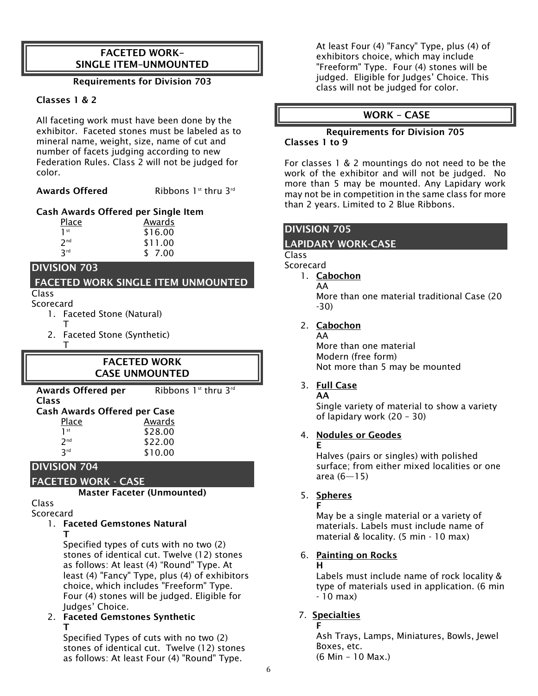## FACETED WORK– SINGLE ITEM–UNMOUNTED

#### Requirements for Division 703

#### Classes 1 & 2

All faceting work must have been done by the exhibitor. Faceted stones must be labeled as to mineral name, weight, size, name of cut and number of facets judging according to new Federation Rules. Class 2 will not be judged for color.

Awards Offered Ribbons 1st thru 3rd

#### Cash Awards Offered per Single Item

| Place           | Awards  |
|-----------------|---------|
| 1 <sup>st</sup> | \$16.00 |
| 7 <sub>nd</sub> | \$11.00 |
| <b>R</b> rd     | \$ 7.00 |

### DIVISION 703

#### FACETED WORK SINGLE ITEM UNMOUNTED Class

Scorecard

- 1. Faceted Stone (Natural)
	- T

T

2. Faceted Stone (Synthetic)

## FACETED WORK CASE UNMOUNTED

Awards Offered per Ribbons  $1^{st}$  thru  $3^{rd}$ 

| v.<br>×<br>. .<br>.,<br>. .<br>. .<br>۰.<br>×<br>۰,<br>v |
|----------------------------------------------------------|
|----------------------------------------------------------|

| <b>Cash Awards Offered per Case</b> |         |
|-------------------------------------|---------|
| Place                               | Awards  |
| 1st                                 | \$28.00 |
| 2 <sub>nd</sub>                     | \$22.00 |
| <b>R</b> rd                         | \$10.00 |

## DIVISION 704

## FACETED WORK - CASE

Master Faceter (Unmounted)

#### Class Scorecard

1. Faceted Gemstones Natural T

> Specified types of cuts with no two (2) stones of identical cut. Twelve (12) stones as follows: At least (4) "Round" Type. At least (4) "Fancy" Type, plus (4) of exhibitors choice, which includes "Freeform" Type. Four (4) stones will be judged. Eligible for Judges' Choice.

#### 2. Faceted Gemstones Synthetic T

Specified Types of cuts with no two (2) stones of identical cut. Twelve (12) stones as follows: At least Four (4) "Round" Type.

At least Four (4) "Fancy" Type, plus (4) of exhibitors choice, which may include "Freeform" Type. Four (4) stones will be judged. Eligible for Judges' Choice. This class will not be judged for color.

# WORK – CASE

#### Requirements for Division 705 Classes 1 to 9

For classes 1 & 2 mountings do not need to be the work of the exhibitor and will not be judged. No more than 5 may be mounted. Any Lapidary work may not be in competition in the same class for more than 2 years. Limited to 2 Blue Ribbons.

## DIVISION 705

## LAPIDARY WORK-CASE

#### Class

**Scorecard** 

- 1. Cabochon
	- AA

More than one material traditional Case (20 -30)

2. Cabochon

AA More than one material Modern (free form) Not more than 5 may be mounted

#### 3. Full Case AA

Single variety of material to show a variety of lapidary work (20 – 30)

#### 4. Nodules or Geodes E

Halves (pairs or singles) with polished surface; from either mixed localities or one area  $(6 - 15)$ 

## 5. Spheres

F May be a single material or a variety of materials. Labels must include name of material & locality. (5 min - 10 max)

## 6. Painting on Rocks

#### H

Labels must include name of rock locality & type of materials used in application. (6 min - 10 max)

# 7. Specialties

F

Ash Trays, Lamps, Miniatures, Bowls, Jewel Boxes, etc.

(6 Min – 10 Max.)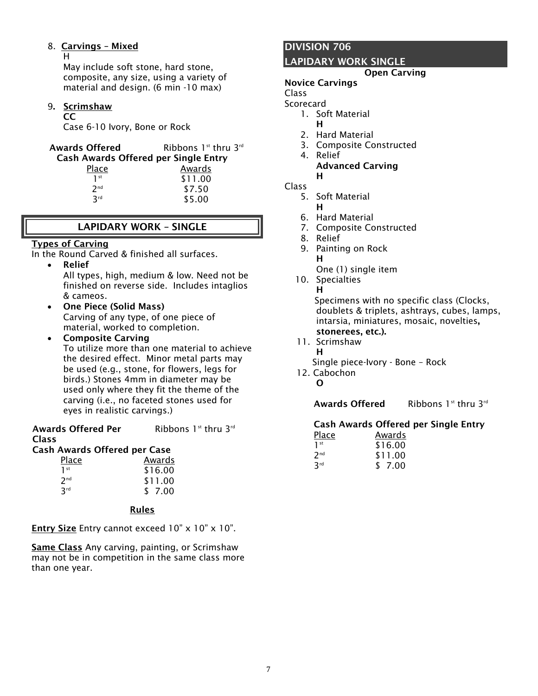## 8. Carvings – Mixed

H

May include soft stone, hard stone, composite, any size, using a variety of material and design. (6 min -10 max)

#### 9. Scrimshaw

#### CC

Case 6-10 Ivory, Bone or Rock

| <b>Awards Offered</b>                       | Ribbons $1st$ thru $3rd$ |
|---------------------------------------------|--------------------------|
| <b>Cash Awards Offered per Single Entry</b> |                          |
| Dla ea                                      | A - J -                  |

| Place           | Awards  |  |
|-----------------|---------|--|
| 1 <sup>st</sup> | \$11.00 |  |
| 7 <sup>nd</sup> | \$7.50  |  |
| 3rd             | \$5.00  |  |

# LAPIDARY WORK – SINGLE

### Types of Carving

In the Round Carved & finished all surfaces.

Relief

All types, high, medium & low. Need not be finished on reverse side. Includes intaglios & cameos.

- One Piece (Solid Mass) Carving of any type, of one piece of material, worked to completion.
- Composite Carving

To utilize more than one material to achieve the desired effect. Minor metal parts may be used (e.g., stone, for flowers, legs for birds.) Stones 4mm in diameter may be used only where they fit the theme of the carving (i.e., no faceted stones used for eyes in realistic carvings.)

Awards Offered Per Class

Ribbons  $1^{st}$  thru  $3^{rd}$ 

# Cash Awards Offered per Case

| Place           | Awards  |
|-----------------|---------|
| 1 <sup>st</sup> | \$16.00 |
| 2 <sub>nd</sub> | \$11.00 |
| <b>Rrd</b>      | \$ 7.00 |

## Rules

**Entry Size** Entry cannot exceed  $10" \times 10" \times 10".$ 

Same Class Any carving, painting, or Scrimshaw may not be in competition in the same class more than one year.

## DIVISION 706

## LAPIDARY WORK SINGLE

#### Open Carving

#### Novice Carvings

Class **Scorecard** 

- 1. Soft Material
- H
- 2. Hard Material
- 3. Composite Constructed
- 4. Relief
	- Advanced Carving H

Class

- 5. Soft Material
	- H
- 6. Hard Material
- 7. Composite Constructed
- 8. Relief
- 9. Painting on Rock H One (1) single item
- 10. Specialties

H

 Specimens with no specific class (Clocks, doublets & triplets, ashtrays, cubes, lamps, intarsia, miniatures, mosaic, novelties, stonerees, etc.).

- 11. Scrimshaw
	- H
	- Single piece-Ivory Bone Rock
- 12. Cabochon

O

Awards Offered Ribbons 1st thru 3rd

#### Cash Awards Offered per Single Entry

| <u>Place</u>    | Awards  |
|-----------------|---------|
| 1 <sup>st</sup> | \$16.00 |
| 7 <sup>nd</sup> | \$11.00 |
| 3rd             | \$ 7.00 |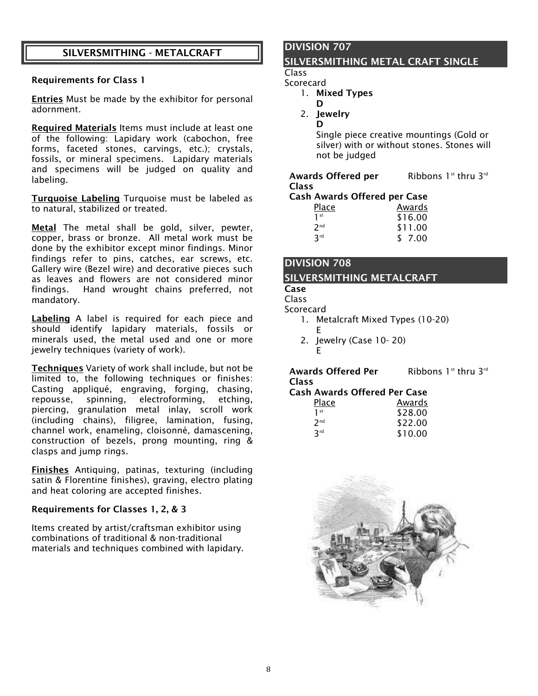## SILVERSMITHING - METALCRAFT

#### Requirements for Class 1

Entries Must be made by the exhibitor for personal adornment.

Required Materials Items must include at least one of the following: Lapidary work (cabochon, free forms, faceted stones, carvings, etc.); crystals, fossils, or mineral specimens. Lapidary materials and specimens will be judged on quality and labeling.

**Turquoise Labeling** Turquoise must be labeled as to natural, stabilized or treated.

Metal The metal shall be gold, silver, pewter, copper, brass or bronze. All metal work must be done by the exhibitor except minor findings. Minor findings refer to pins, catches, ear screws, etc. Gallery wire (Bezel wire) and decorative pieces such as leaves and flowers are not considered minor findings. Hand wrought chains preferred, not mandatory.

Labeling A label is required for each piece and should identify lapidary materials, fossils or minerals used, the metal used and one or more jewelry techniques (variety of work).

Techniques Variety of work shall include, but not be limited to, the following techniques or finishes: Casting appliqué, engraving, forging, chasing, repousse, spinning, electroforming, etching, piercing, granulation metal inlay, scroll work (including chains), filigree, lamination, fusing, channel work, enameling, cloisonné, damascening, construction of bezels, prong mounting, ring & clasps and jump rings.

Finishes Antiquing, patinas, texturing (including satin & Florentine finishes), graving, electro plating and heat coloring are accepted finishes.

#### Requirements for Classes 1, 2, & 3

Items created by artist/craftsman exhibitor using combinations of traditional & non-traditional materials and techniques combined with lapidary.

# DIVISION 707

#### SILVERSMITHING METAL CRAFT SINGLE

Class Scorecard

- 1. Mixed Types
	- D
- 2. Jewelry D

Single piece creative mountings (Gold or silver) with or without stones. Stones will not be judged

#### Awards Offered per Class Ribbons  $1^{st}$  thru  $3^{rd}$ Cash Awards Offered per Case

|                 | 51171   |
|-----------------|---------|
| Place           | Awards  |
| 1 <sup>st</sup> | \$16.00 |
| 2 <sub>nd</sub> | \$11.00 |
| <b>R</b> rd     | \$7.00  |

# DIVISION 708 SILVERSMITHING METALCRAFT

## Case

Class

**Scorecard** 

1. Metalcraft Mixed Types (10-20) E

Ribbons  $1^{st}$  thru  $3^{rd}$ 

2. Jewelry (Case 10- 20) E

Awards Offered Per Class

#### Cash Awards Offered Per Case

| Awards  |
|---------|
| \$28.00 |
| \$22.00 |
| \$10.00 |
|         |

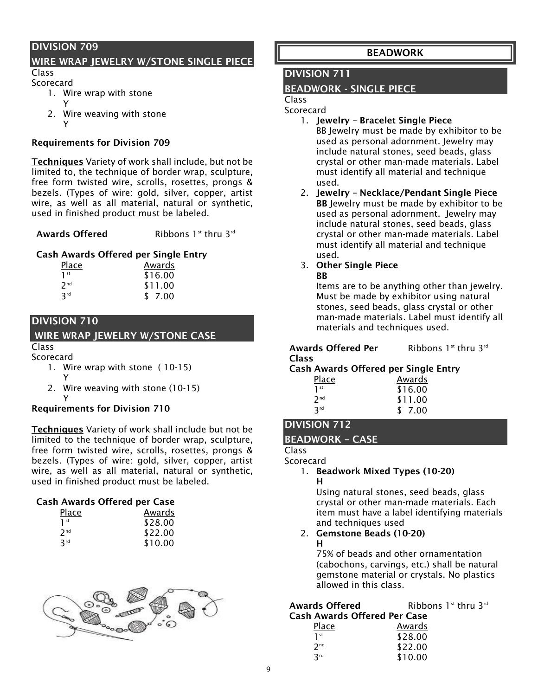## WIRE WRAP JEWELRY W/STONE SINGLE PIECE

Class Scorecard

- 1. Wire wrap with stone
- Y
- 2. Wire weaving with stone
	- Y and the contract of the contract of the contract of the contract of the contract of the contract of the contract of the contract of the contract of the contract of the contract of the contract of the contract of the cont

#### Requirements for Division 709

Techniques Variety of work shall include, but not be limited to, the technique of border wrap, sculpture, free form twisted wire, scrolls, rosettes, prongs & bezels. (Types of wire: gold, silver, copper, artist wire, as well as all material, natural or synthetic, used in finished product must be labeled.

Awards Offered Ribbons 1st thru 3rd

#### Cash Awards Offered per Single Entry

| <b>Place</b>    | Awards<br>\$16.00 |  |  |
|-----------------|-------------------|--|--|
| 1 <sup>st</sup> |                   |  |  |
| 7 <sup>nd</sup> | \$11.00           |  |  |
| 3 <sup>rd</sup> | \$ 7.00           |  |  |

## DIVISION 710

# WIRE WRAP JEWELRY W/STONE CASE

#### Class Scorecard

- 1. Wire wrap with stone ( 10-15) Y
- 2. Wire weaving with stone (10-15) Y and the contract of the contract of the contract of the contract of the contract of the contract of the contract of the contract of the contract of the contract of the contract of the contract of the contract of the cont

#### Requirements for Division 710

Techniques Variety of work shall include but not be limited to the technique of border wrap, sculpture, free form twisted wire, scrolls, rosettes, prongs & bezels. (Types of wire: gold, silver, copper, artist wire, as well as all material, natural or synthetic, used in finished product must be labeled.

#### Cash Awards Offered per Case

| Place           | Awards  |
|-----------------|---------|
| 1 <sup>st</sup> | \$28.00 |
| 2 <sub>nd</sub> | \$22.00 |
| 3rd             | \$10.00 |
|                 |         |



## BEADWORK

## DIVISION 711

## BEADWORK - SINGLE PIECE

#### Class **Scorecard**

- 1. Jewelry Bracelet Single Piece BB Jewelry must be made by exhibitor to be used as personal adornment. Jewelry may include natural stones, seed beads, glass crystal or other man-made materials. Label must identify all material and technique used.
- 2. Jewelry Necklace/Pendant Single Piece BB Jewelry must be made by exhibitor to be used as personal adornment. Jewelry may include natural stones, seed beads, glass crystal or other man-made materials. Label must identify all material and technique used.

#### 3. Other Single Piece **RR**

Items are to be anything other than jewelry. Must be made by exhibitor using natural stones, seed beads, glass crystal or other man-made materials. Label must identify all materials and techniques used.

| <b>Awards Offered Per</b> | Ribbons $1st$ thru $3rd$ |  |
|---------------------------|--------------------------|--|
| <b>Class</b>              |                          |  |

#### Cash Awards Offered per Single Entry

| Place           | Awards  |
|-----------------|---------|
| 1 <sup>st</sup> | \$16.00 |
| 7 <sub>nd</sub> | \$11.00 |
| 3rd             | \$ 7.00 |

# DIVISION 712

#### BEADWORK – CASE

#### Class Scorecard

1. Beadwork Mixed Types (10-20) H

Using natural stones, seed beads, glass crystal or other man-made materials. Each item must have a label identifying materials and techniques used

#### 2. Gemstone Beads (10-20) H

75% of beads and other ornamentation (cabochons, carvings, etc.) shall be natural gemstone material or crystals. No plastics allowed in this class.

## Awards Offered Ribbons 1st thru 3rd Cash Awards Offered Per Case

| Place           | Awards  |
|-----------------|---------|
| 1 <sup>st</sup> | \$28.00 |
| 7 <sub>nd</sub> | \$22.00 |
| 3rd             | \$10.00 |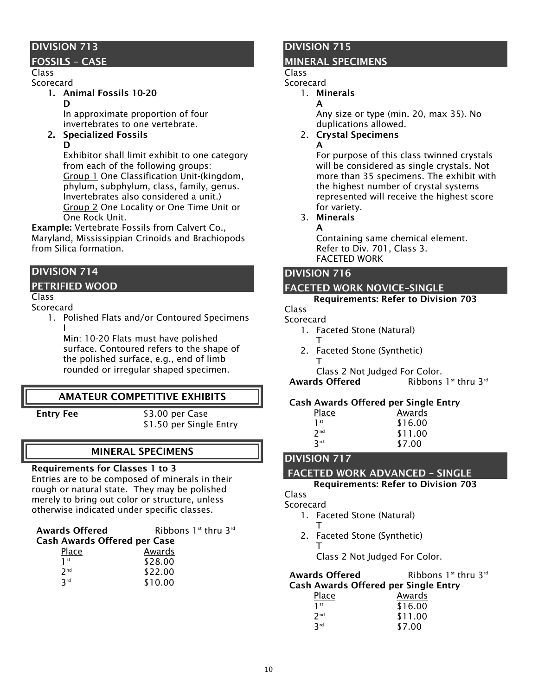## FOSSILS – CASE

#### Class Scorecard

- 1. Animal Fossils 10-20
	- D

In approximate proportion of four invertebrates to one vertebrate.

2. Specialized Fossils

D

Exhibitor shall limit exhibit to one category from each of the following groups: Group 1 One Classification Unit-(kingdom, phylum, subphylum, class, family, genus. Invertebrates also considered a unit.) Group 2 One Locality or One Time Unit or One Rock Unit.

Example: Vertebrate Fossils from Calvert Co., Maryland, Mississippian Crinoids and Brachiopods from Silica formation.

# DIVISION 714

## PETRIFIED WOOD

Class

#### Scorecard

1. Polished Flats and/or Contoured Specimens I

Min: 10-20 Flats must have polished surface. Contoured refers to the shape of the polished surface, e.g., end of limb rounded or irregular shaped specimen.

# AMATEUR COMPETITIVE EXHIBITS

**Entry Fee** \$3.00 per Case \$1.50 per Single Entry

# MINERAL SPECIMENS

#### Requirements for Classes 1 to 3

Entries are to be composed of minerals in their rough or natural state. They may be polished merely to bring out color or structure, unless otherwise indicated under specific classes.

| <b>Awards Offered</b>        | Ribbons $1st$ thru $3rd$ |  |
|------------------------------|--------------------------|--|
| Cash Awards Offered ner Case |                          |  |

| <b>Cash Awards Offered per Case</b> |         |
|-------------------------------------|---------|
| Place                               | Awards  |
| 1 <sup>st</sup>                     | \$28.00 |
| 2 <sub>nd</sub>                     | \$22.00 |
| 3rd                                 | \$10.00 |

# DIVISION 715

## MINERAL SPECIMENS

# Class

Scorecard

1. Minerals

A

Any size or type (min. 20, max 35). No duplications allowed.

- 2. Crystal Specimens
	- A

For purpose of this class twinned crystals will be considered as single crystals. Not more than 35 specimens. The exhibit with the highest number of crystal systems represented will receive the highest score for variety.

3. Minerals A

Containing same chemical element. Refer to Div. 701, Class 3. FACETED WORK

# DIVISION 716

# FACETED WORK NOVICE–SINGLE

#### Requirements: Refer to Division 703

Class

#### Scorecard

- 1. Faceted Stone (Natural)
- T 2. Faceted Stone (Synthetic) T
	- Class 2 Not Judged For Color.

**Awards Offered** Ribbons 1st thru 3rd

## Cash Awards Offered per Single Entry

| <b>Place</b>    | Awards  |  |
|-----------------|---------|--|
| 1 <sup>st</sup> | \$16.00 |  |
| 7 <sub>nd</sub> | \$11.00 |  |
| 3 <sup>rd</sup> | \$7.00  |  |

# 3rd DIVISION 717

 $1<sup>st</sup>$ 

## FACETED WORK ADVANCED – SINGLE

Requirements: Refer to Division 703

Class Scorecard

- 1. Faceted Stone (Natural)
	- T
- 2. Faceted Stone (Synthetic) T

Class 2 Not Judged For Color.

#### Awards Offered Ribbons 1st thru 3rd Cash Awards Offered per Single Entry

| ii Awarus Ullereu per Single |
|------------------------------|
| Awards                       |
| \$16.00                      |
| \$11.00                      |
| \$7.00                       |
|                              |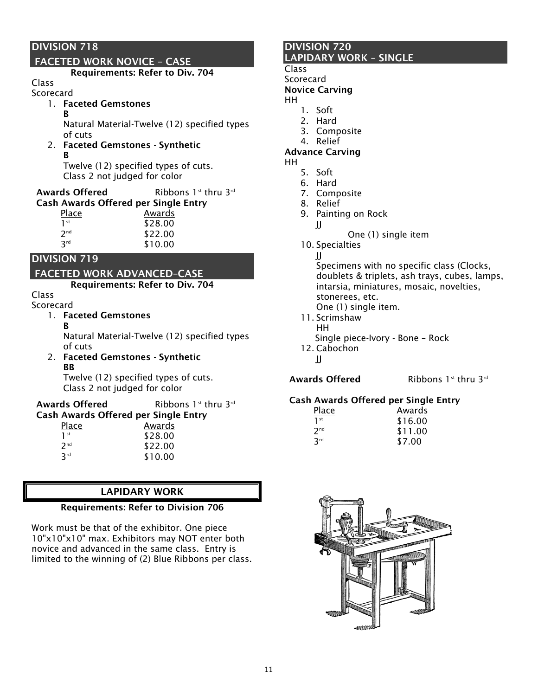# FACETED WORK NOVICE – CASE

Requirements: Refer to Div. 704

# Class

- Scorecard
	- 1. Faceted Gemstones

B Natural Material-Twelve (12) specified types of cuts

2. Faceted Gemstones - Synthetic B

Twelve (12) specified types of cuts. Class 2 not judged for color

| <b>Awards Offered</b>                       | Ribbons $1^{st}$ thru $3^{rd}$ |
|---------------------------------------------|--------------------------------|
| <b>Cash Awards Offered per Single Entry</b> |                                |

| <u>Place</u>    | Awards  |
|-----------------|---------|
| 1st             | \$28.00 |
| 2 <sub>nd</sub> | \$22.00 |
| <b>R</b> rd     | \$10.00 |

## DIVISION 719

# FACETED WORK ADVANCED–CASE

Requirements: Refer to Div. 704

#### Class Scorecard

- 1. Faceted Gemstones
	- B
- 

Natural Material-Twelve (12) specified types of cuts

2. Faceted Gemstones - Synthetic BB

Twelve (12) specified types of cuts. Class 2 not judged for color

| <b>Awards Offered</b>                | Ribbons 1 <sup>st</sup> thru 3 <sup>rd</sup> |
|--------------------------------------|----------------------------------------------|
| Cash Awards Offered per Single Entry |                                              |
| Place                                | Awards                                       |

| \$28.00 |
|---------|
| \$22.00 |
| \$10.00 |
|         |

#### LAPIDARY WORK

#### Requirements: Refer to Division 706

Work must be that of the exhibitor. One piece 10"x10"x10" max. Exhibitors may NOT enter both novice and advanced in the same class. Entry is limited to the winning of (2) Blue Ribbons per class.

## DIVISION 720 LAPIDARY WORK – SINGLE

## Class

**Scorecard** 

#### Novice Carving

- HH
	- 1. Soft 2. Hard
	- 3. Composite
	- 4. Relief

#### Advance Carving

HH

- 5. Soft
- 6. Hard
- 7. Composite
- 8. Relief
- 9. Painting on Rock
- JJ
- One (1) single item
- 10. Specialties

JJ Specimens with no specific class (Clocks, doublets & triplets, ash trays, cubes, lamps, intarsia, miniatures, mosaic, novelties, stonerees, etc. One (1) single item.

- 11. Scrimshaw HH Single piece-Ivory - Bone – Rock
- 12. Cabochon
	- JJ

Awards Offered Ribbons 1st thru 3rd

#### Cash Awards Offered per Single Entry

| Awards  |
|---------|
| \$16.00 |
| \$11.00 |
| \$7.00  |
|         |

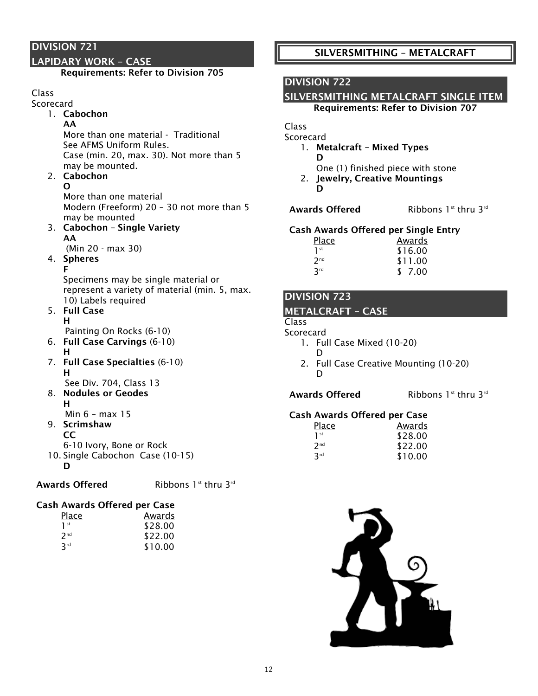#### LAPIDARY WORK – CASE

#### Requirements: Refer to Division 705

#### Class

- **Scorecard** 
	- 1. Cabochon AA

More than one material - Traditional See AFMS Uniform Rules. Case (min. 20, max. 30). Not more than 5 may be mounted.

#### 2. Cabochon O

More than one material Modern (Freeform) 20 – 30 not more than 5 may be mounted

3. Cabochon – Single Variety AA

(Min 20 - max 30)

# 4. Spheres

F Specimens may be single material or represent a variety of material (min. 5, max. 10) Labels required

- 5. Full Case H
	- Painting On Rocks (6-10)
- 6. Full Case Carvings (6-10)
	- H
- 7. Full Case Specialties (6-10) H See Div. 704, Class 13
- 8. Nodules or Geodes H

Min 6 – max 15

#### 9. Scrimshaw CC

- 6-10 Ivory, Bone or Rock
- 10. Single Cabochon Case (10-15)
	- D

Awards Offered Ribbons 1st thru 3rd

# Cash Awards Offered per Case

| Place           | Awards  |
|-----------------|---------|
| 1 st            | \$28.00 |
| 7 <sub>nd</sub> | \$22.00 |
| 3rd             | \$10.00 |

# SILVERSMITHING – METALCRAFT

## DIVISION 722

## SILVERSMITHING METALCRAFT SINGLE ITEM

Requirements: Refer to Division 707

Class

**Scorecard** 

- 1. Metalcraft Mixed Types D
	- One (1) finished piece with stone
- 2. Jewelry, Creative Mountings D

Awards Offered Ribbons 1st thru 3rd

#### Cash Awards Offered per Single Entry

| Place                  | Awards  |
|------------------------|---------|
| 1 <sup>st</sup>        | \$16.00 |
| 7 <sub>nd</sub>        | \$11.00 |
| <b>R</b> <sup>rd</sup> | \$ 7.00 |

## DIVISION 723

#### METALCRAFT – CASE

## Class

**Scorecard** 

- 1. Full Case Mixed (10-20)
	- D
- 2. Full Case Creative Mounting (10-20) D

Awards Offered Ribbons 1st thru 3rd

#### Cash Awards Offered per Case

| Awards  |
|---------|
| \$28.00 |
| \$22.00 |
| \$10.00 |
|         |

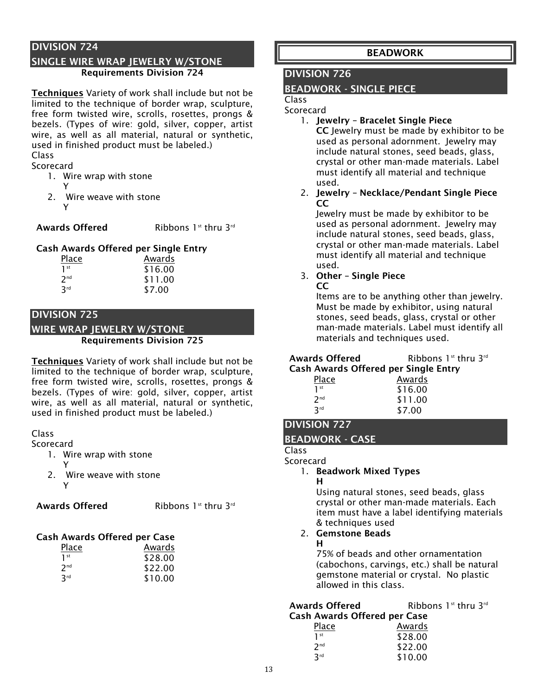#### SINGLE WIRE WRAP JEWELRY W/STONE Requirements Division 724

Techniques Variety of work shall include but not be limited to the technique of border wrap, sculpture, free form twisted wire, scrolls, rosettes, prongs & bezels. (Types of wire: gold, silver, copper, artist wire, as well as all material, natural or synthetic, used in finished product must be labeled.) Class

#### **Scorecard**

- 1. Wire wrap with stone
	- Y
- 2. Wire weave with stone Y

#### **Awards Offered** Ribbons 1st thru 3rd

#### Cash Awards Offered per Single Entry

| Place           | Awards  |
|-----------------|---------|
| 1 <sup>st</sup> | \$16.00 |
| 2 <sup>nd</sup> | \$11.00 |
| 3rd             | \$7.00  |

#### DIVISION 725

WIRE WRAP JEWELRY W/STONE

#### Requirements Division 725

Techniques Variety of work shall include but not be limited to the technique of border wrap, sculpture, free form twisted wire, scrolls, rosettes, prongs & bezels. (Types of wire: gold, silver, copper, artist wire, as well as all material, natural or synthetic, used in finished product must be labeled.)

#### Class

#### Scorecard

- 1. Wire wrap with stone
- Y 2. Wire weave with stone Y

Awards Offered Ribbons 1st thru 3rd

#### Cash Awards Offered per Case

| Place           | Awards  |
|-----------------|---------|
| 1 <sup>st</sup> | \$28.00 |
| 7 <sup>nd</sup> | \$22.00 |
| 3rd             | \$10.00 |

## BEADWORK

## DIVISION 726

#### BEADWORK - SINGLE PIECE

#### Class **Scorecard**

1. Jewelry – Bracelet Single Piece

CC Jewelry must be made by exhibitor to be used as personal adornment. Jewelry may include natural stones, seed beads, glass, crystal or other man-made materials. Label must identify all material and technique used.

2. Jewelry – Necklace/Pendant Single Piece  $CC$ 

Jewelry must be made by exhibitor to be used as personal adornment. Jewelry may include natural stones, seed beads, glass, crystal or other man-made materials. Label must identify all material and technique used.

#### 3. Other – Single Piece CC

Items are to be anything other than jewelry. Must be made by exhibitor, using natural stones, seed beads, glass, crystal or other man-made materials. Label must identify all materials and techniques used.

#### Awards Offered Ribbons 1st thru 3rd Cash Awards Offered per Single Entry

| Place           | Awards  |
|-----------------|---------|
| 1 <sup>st</sup> | \$16.00 |
| 7 <sub>nd</sub> | \$11.00 |
| 3rd             | \$7.00  |

# DIVISION 727

#### BEADWORK - CASE

#### Class **Scorecard**

#### 1. Beadwork Mixed Types

H

Using natural stones, seed beads, glass crystal or other man-made materials. Each item must have a label identifying materials & techniques used

#### 2. Gemstone Beads H

75% of beads and other ornamentation (cabochons, carvings, etc.) shall be natural gemstone material or crystal. No plastic allowed in this class.

\$22.00

\$10.00

| <b>Awards Offered</b>               | Ribbons 1 <sup>st</sup> thru 3 <sup>rd</sup> |  |
|-------------------------------------|----------------------------------------------|--|
| <b>Cash Awards Offered per Case</b> |                                              |  |
| Place                               | Awards                                       |  |
| 1 <sup>st</sup>                     | \$28.00                                      |  |

 $2<sup>nd</sup>$ 

3rd

13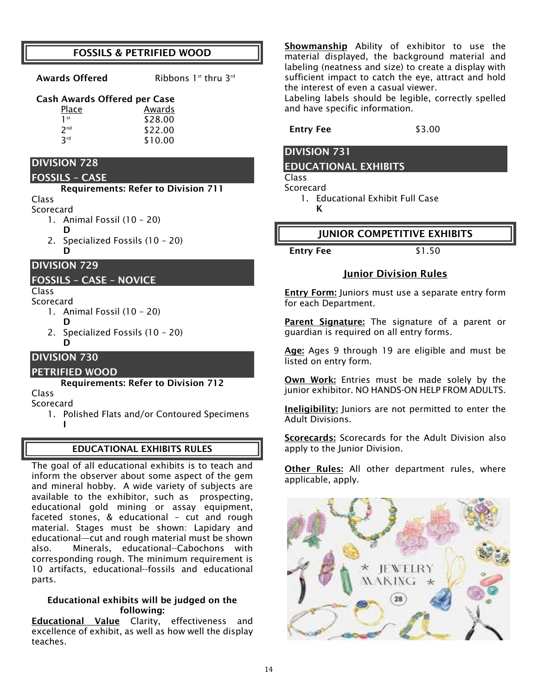## FOSSILS & PETRIFIED WOOD

Awards Offered Ribbons 1st thru 3rd

## Cash Awards Offered per Case

| Place           | Awards  |
|-----------------|---------|
| 1 <sup>st</sup> | \$28.00 |
| 2 <sub>nd</sub> | \$22.00 |
| 3rd             | \$10.00 |

## DIVISION 728

#### FOSSILS – CASE

#### Requirements: Refer to Division 711

Class Scorecard

- 1. Animal Fossil (10 20)
	- D
- 2. Specialized Fossils (10 20) D

#### DIVISION 729

#### FOSSILS – CASE – NOVICE

# Class

- Scorecard 1. Animal Fossil (10 – 20)
	- D
	- 2. Specialized Fossils (10 20) D

# DIVISION 730

## PETRIFIED WOOD

Requirements: Refer to Division 712

Class

- Scorecard
	- 1. Polished Flats and/or Contoured Specimens I

## EDUCATIONAL EXHIBITS RULES

The goal of all educational exhibits is to teach and inform the observer about some aspect of the gem and mineral hobby. A wide variety of subjects are available to the exhibitor, such as prospecting, educational gold mining or assay equipment, faceted stones, & educational – cut and rough material. Stages must be shown: Lapidary and educational—cut and rough material must be shown also. Minerals, educational--Cabochons with corresponding rough. The minimum requirement is 10 artifacts, educational--fossils and educational parts.

#### Educational exhibits will be judged on the following:

Educational Value Clarity, effectiveness and excellence of exhibit, as well as how well the display teaches.

Showmanship Ability of exhibitor to use the material displayed, the background material and labeling (neatness and size) to create a display with sufficient impact to catch the eye, attract and hold the interest of even a casual viewer.

Labeling labels should be legible, correctly spelled and have specific information.

#### Entry Fee \$3.00

## DIVISION 731

K

#### EDUCATIONAL EXHIBITS

Class

**Scorecard** 

1. Educational Exhibit Full Case

## JUNIOR COMPETITIVE EXHIBITS

Entry Fee \$1.50

## Junior Division Rules

Entry Form: Juniors must use a separate entry form for each Department.

Parent Signature: The signature of a parent or guardian is required on all entry forms.

Age: Ages 9 through 19 are eligible and must be listed on entry form.

Own Work: Entries must be made solely by the junior exhibitor. NO HANDS-ON HELP FROM ADULTS.

Ineligibility: Juniors are not permitted to enter the Adult Divisions.

Scorecards: Scorecards for the Adult Division also apply to the Junior Division.

Other Rules: All other department rules, where applicable, apply.